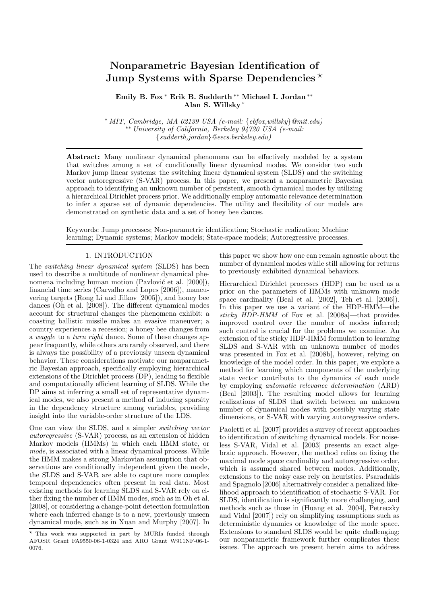# Nonparametric Bayesian Identification of Jump Systems with Sparse Dependencies<sup> $\star$ </sup>

Emily B. Fox <sup>∗</sup> Erik B. Sudderth ∗∗ Michael I. Jordan ∗∗ Alan S. Willsky <sup>∗</sup>

<sup>∗</sup> MIT, Cambridge, MA 02139 USA (e-mail: {ebfox,willsky}@mit.edu) ∗∗ University of California, Berkeley 94720 USA (e-mail: {sudderth,jordan}@eecs.berkeley.edu)

Abstract: Many nonlinear dynamical phenomena can be effectively modeled by a system that switches among a set of conditionally linear dynamical modes. We consider two such Markov jump linear systems: the switching linear dynamical system (SLDS) and the switching vector autoregressive (S-VAR) process. In this paper, we present a nonparametric Bayesian approach to identifying an unknown number of persistent, smooth dynamical modes by utilizing a hierarchical Dirichlet process prior. We additionally employ automatic relevance determination to infer a sparse set of dynamic dependencies. The utility and flexibility of our models are demonstrated on synthetic data and a set of honey bee dances.

Keywords: Jump processes; Non-parametric identification; Stochastic realization; Machine learning; Dynamic systems; Markov models; State-space models; Autoregressive processes.

## 1. INTRODUCTION

The switching linear dynamical system (SLDS) has been used to describe a multitude of nonlinear dynamical phenomena including human motion (Pavlović et al. [2000]), financial time series (Carvalho and Lopes [2006]), maneuvering targets (Rong Li and Jilkov [2005]), and honey bee dances (Oh et al. [2008]). The different dynamical modes account for structural changes the phenomena exhibit: a coasting ballistic missile makes an evasive maneuver; a country experiences a recession; a honey bee changes from a waggle to a turn right dance. Some of these changes appear frequently, while others are rarely observed, and there is always the possibility of a previously unseen dynamical behavior. These considerations motivate our nonparametric Bayesian approach, specifically employing hierarchical extensions of the Dirichlet process (DP), leading to flexible and computationally efficient learning of SLDS. While the DP aims at inferring a small set of representative dynamical modes, we also present a method of inducing sparsity in the dependency structure among variables, providing insight into the variable-order structure of the LDS.

One can view the SLDS, and a simpler switching vector autoregressive (S-VAR) process, as an extension of hidden Markov models (HMMs) in which each HMM state, or mode, is associated with a linear dynamical process. While the HMM makes a strong Markovian assumption that observations are conditionally independent given the mode, the SLDS and S-VAR are able to capture more complex temporal dependencies often present in real data. Most existing methods for learning SLDS and S-VAR rely on either fixing the number of HMM modes, such as in Oh et al. [2008], or considering a change-point detection formulation where each inferred change is to a new, previously unseen dynamical mode, such as in Xuan and Murphy [2007]. In this paper we show how one can remain agnostic about the number of dynamical modes while still allowing for returns to previously exhibited dynamical behaviors.

Hierarchical Dirichlet processes (HDP) can be used as a prior on the parameters of HMMs with unknown mode space cardinality (Beal et al. [2002], Teh et al. [2006]). In this paper we use a variant of the HDP-HMM—the sticky HDP-HMM of Fox et al. [2008a]—that provides improved control over the number of modes inferred; such control is crucial for the problems we examine. An extension of the sticky HDP-HMM formulation to learning SLDS and S-VAR with an unknown number of modes was presented in Fox et al. [2008b], however, relying on knowledge of the model order. In this paper, we explore a method for learning which components of the underlying state vector contribute to the dynamics of each mode by employing automatic relevance determination (ARD) (Beal [2003]). The resulting model allows for learning realizations of SLDS that switch between an unknown number of dynamical modes with possibly varying state dimensions, or S-VAR with varying autoregressive orders.

Paoletti et al. [2007] provides a survey of recent approaches to identification of switching dynamical models. For noiseless S-VAR, Vidal et al. [2003] presents an exact algebraic approach. However, the method relies on fixing the maximal mode space cardinality and autoregressive order, which is assumed shared between modes. Additionally, extensions to the noisy case rely on heuristics. Psaradakis and Spagnolo [2006] alternatively consider a penalized likelihood approach to identification of stochastic S-VAR. For SLDS, identification is significantly more challenging, and methods such as those in (Huang et al. [2004], Petreczky and Vidal [2007]) rely on simplifying assumptions such as deterministic dynamics or knowledge of the mode space. Extensions to standard SLDS would be quite challenging: our nonparametric framework further complicates these issues. The approach we present herein aims to address

<sup>⋆</sup> This work was supported in part by MURIs funded through AFOSR Grant FA9550-06-1-0324 and ARO Grant W911NF-06-1- 0076.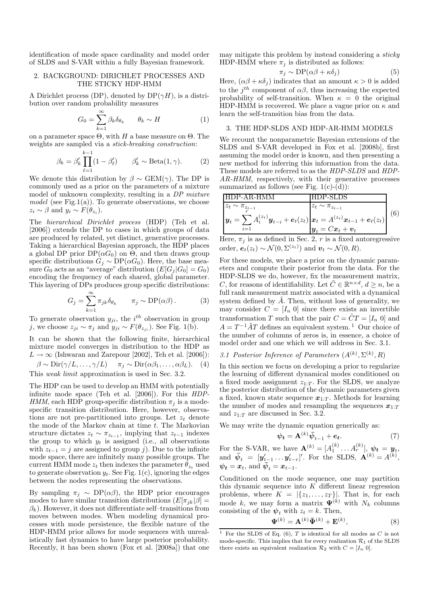identification of mode space cardinality and model order of SLDS and S-VAR within a fully Bayesian framework.

## 2. BACKGROUND: DIRICHLET PROCESSES AND THE STICKY HDP-HMM

A Dirichlet process (DP), denoted by  $DP(\gamma H)$ , is a distribution over random probability measures

$$
G_0 = \sum_{k=1}^{\infty} \beta_k \delta_{\theta_k} \qquad \theta_k \sim H \tag{1}
$$

on a parameter space  $Θ$ , with H a base measure on  $Θ$ . The weights are sampled via a stick-breaking construction:

$$
\beta_k = \beta'_k \prod_{\ell=1}^{k-1} (1 - \beta'_\ell) \qquad \beta'_k \sim \text{Beta}(1, \gamma). \tag{2}
$$

We denote this distribution by  $\beta \sim \text{GEM}(\gamma)$ . The DP is commonly used as a prior on the parameters of a mixture model of unknown complexity, resulting in a DP mixture model (see Fig.1(a)). To generate observations, we choose  $z_i \sim \beta$  and  $y_i \sim F(\theta_{z_i}).$ 

The hierarchical Dirichlet process (HDP) (Teh et al. [2006]) extends the DP to cases in which groups of data are produced by related, yet distinct, generative processes. Taking a hierarchical Bayesian approach, the HDP places a global DP prior  $DP(\alpha G_0)$  on  $\Theta$ , and then draws group specific distributions  $G_j \sim DP(\alpha G_0)$ . Here, the base measure  $G_0$  acts as an "average" distribution  $(E[G_j | G_0] = G_0)$ encoding the frequency of each shared, global parameter. This layering of DPs produces group specific distributions:

$$
G_j = \sum_{k=1}^{\infty} \pi_{jk} \delta_{\theta_k} \qquad \pi_j \sim \text{DP}(\alpha \beta). \tag{3}
$$

To generate observation  $y_{ji}$ , the  $i^{th}$  observation in group j, we choose  $z_{ji} \sim \pi_j$  and  $y_{ji} \sim F(\theta_{z_{ji}})$ . See Fig. 1(b).

It can be shown that the following finite, hierarchical mixture model converges in distribution to the HDP as  $L \rightarrow \infty$  (Ishwaran and Zarepour [2002], Teh et al. [2006]):  $\beta \sim \text{Dir}(\gamma/L, \ldots, \gamma/L) \quad \pi_j \sim \text{Dir}(\alpha\beta_1, \ldots, \alpha\beta_L).$  (4) This weak limit approximation is used in Sec. 3.2.

The HDP can be used to develop an HMM with potentially infinite mode space (Teh et al. [2006]). For this HDP-HMM, each HDP group-specific distribution  $\pi_i$  is a modespecific transition distribution. Here, however, observations are not pre-partitioned into groups. Let  $z_t$  denote the mode of the Markov chain at time  $t$ . The Markovian structure dictates  $z_t \sim \pi_{z_{t-1}}$ , implying that  $z_{t-1}$  indexes the group to which  $y_t$  is assigned (i.e., all observations with  $z_{t-1} = j$  are assigned to group j). Due to the infinite mode space, there are infinitely many possible groups. The current HMM mode  $z_t$  then indexes the parameter  $\theta_{z_t}$  used to generate observation  $y_t$ . See Fig. 1(c), ignoring the edges between the nodes representing the observations.

By sampling  $\pi_i \sim DP(\alpha\beta)$ , the HDP prior encourages modes to have similar transition distributions  $(E[\pi_{ik}|\beta] =$  $\beta_k$ ). However, it does not differentiate self–transitions from moves between modes. When modeling dynamical processes with mode persistence, the flexible nature of the HDP-HMM prior allows for mode sequences with unrealistically fast dynamics to have large posterior probability. Recently, it has been shown (Fox et al. [2008a]) that one

may mitigate this problem by instead considering a sticky HDP-HMM where  $\pi_i$  is distributed as follows:

$$
\pi_j \sim \text{DP}(\alpha \beta + \kappa \delta_j) \tag{5}
$$

Here,  $(\alpha\beta + \kappa\delta_j)$  indicates that an amount  $\kappa > 0$  is added to the  $j^{th}$  component of  $\alpha\beta$ , thus increasing the expected probability of self-transition. When  $\kappa = 0$  the original HDP-HMM is recovered. We place a vague prior on  $\kappa$  and learn the self-transition bias from the data.

#### 3. THE HDP-SLDS AND HDP-AR-HMM MODELS

We recount the nonparametric Bayesian extensions of the SLDS and S-VAR developed in Fox et al. [2008b], first assuming the model order is known, and then presenting a new method for inferring this information from the data. These models are referred to as the HDP-SLDS and HDP-AR-HMM, respectively, with their generative processes summarized as follows (see Fig.  $1(c)-(d)$ ):

$$
\frac{\text{HDP-AR-HMM}}{z_t \sim \pi_{z_{t-1}}}
$$
\n
$$
y_t = \sum_{i=1}^r A_i^{(z_t)} y_{t-i} + e_t(z_t) \frac{\boldsymbol{x}_t - \boldsymbol{x}_{z_{t-1}}}{\boldsymbol{x}_t = A^{(z_t)} \boldsymbol{x}_{t-1} + e_t(z_t)} \qquad (6)
$$
\n
$$
y_t = C \boldsymbol{x}_t + \boldsymbol{v}_t
$$

Here,  $\pi_j$  is as defined in Sec. 2, r is a fixed autoregressive order,  $e_t(z_t) \sim \mathcal{N}(0, \Sigma^{(z_t)})$  and  $v_t \sim \mathcal{N}(0, R)$ .

For these models, we place a prior on the dynamic parameters and compute their posterior from the data. For the HDP-SLDS we do, however, fix the measurement matrix, C, for reasons of identifiability. Let  $\tilde{C} \in \mathbb{R}^{n \times d}$ ,  $d \geq n$ , be a full rank measurement matrix associated with a dynamical system defined by  $\ddot{A}$ . Then, without loss of generality, we may consider  $C = [I_n \ 0]$  since there exists an invertible transformation T such that the pair  $C = \tilde{C}T = [I_n \ 0]$  and  $A = T^{-1} \tilde{A} T$  defines an equivalent system.<sup>1</sup> Our choice of the number of columns of zeros is, in essence, a choice of model order and one which we will address in Sec. 3.1.

## 3.1 Posterior Inference of Parameters  $(A^{(k)}, \Sigma^{(k)}, R)$

In this section we focus on developing a prior to regularize the learning of different dynamical modes conditioned on a fixed mode assignment  $z_{1:T}$ . For the SLDS, we analyze the posterior distribution of the dynamic parameters given a fixed, known state sequence  $x_{1:T}$ . Methods for learning the number of modes and resampling the sequences  $x_{1:T}$ and  $z_{1:T}$  are discussed in Sec. 3.2.

We may write the dynamic equation generically as:

$$
\psi_t = \mathbf{A}^{(k)} \bar{\psi}_{t-1} + e_t. \tag{7}
$$

For the S-VAR, we have  $\mathbf{A}^{(k)} = [A_1^{(k)} \dots A_r^{(k)}], \psi_t = y_t$ , and  $\bar{\psi}_t = [\mathbf{y}'_{t-1} \dots \mathbf{y}'_{t-r}]'$ . For the SLDS,  $\mathbf{A}^{(k)} = A^{(k)}$ ,  $\psi_t = x_t$ , and  $\bar{\psi}_t = x_{t-1}$ .

Conditioned on the mode sequence, one may partition this dynamic sequence into  $K$  different linear regression problems, where  $K = |\{z_1, \ldots, z_T\}|$ . That is, for each mode k, we may form a matrix  $\Psi^{(k)}$  with  $N_k$  columns consisting of the  $\psi_t$  with  $z_t = k$ . Then,

$$
\mathbf{\Psi}^{(k)} = \mathbf{A}^{(k)} \mathbf{\bar{\Psi}}^{(k)} + \mathbf{E}^{(k)},\tag{8}
$$

<sup>&</sup>lt;sup>1</sup> For the SLDS of Eq. (6), *T* is identical for all modes as *C* is not mode-specific. This implies that for every realization  $\mathcal{R}_1$  of the SLDS there exists an equivalent realization  $\mathcal{R}_2$  with  $C = [I_n \ 0].$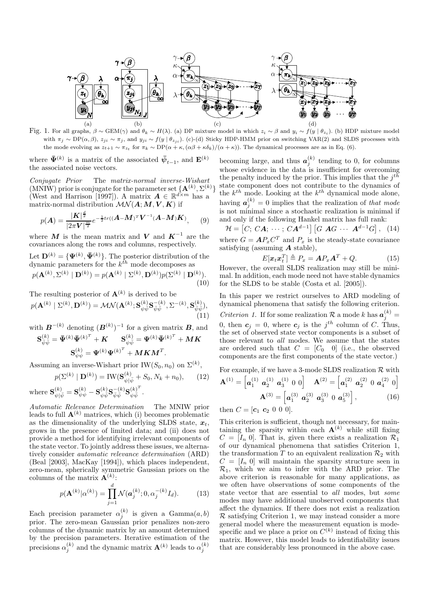

Fig. 1. For all graphs,  $\beta \sim \text{GEM}(\gamma)$  and  $\theta_k \sim H(\lambda)$ . (a) DP mixture model in which  $z_i \sim \beta$  and  $y_i \sim f(y \mid \theta_{z_i})$ . (b) HDP mixture model with  $\pi_j \sim \text{DP}(\alpha, \beta)$ ,  $z_{ji} \sim \pi_j$ , and  $y_{ji} \sim f(y \mid \theta_{z_{ji}})$ . (c)-(d) Sticky HDP-HMM prior on switching VAR(2) and SLDS processes with the mode evolving as  $z_{t+1} \sim \pi_{z_t}$  for  $\pi_k \sim \text{DP}(\alpha + \kappa, (\alpha \beta + \kappa \delta_k)/(\alpha + \kappa))$ . The dynamical processes are as in Eq. (6).

where  $\bar{\Psi}^{(k)}$  is a matrix of the associated  $\bar{\psi}_{t-1}$ , and  $\mathbf{E}^{(k)}$ the associated noise vectors.

Conjugate Prior The matrix-normal inverse-Wishart (MNIW) prior is conjugate for the parameter set  ${A^{(k)}, \Sigma^{(k)}}$ (West and Harrison [1997]). A matrix  $\mathbf{A} \in \mathbb{R}^{d \times m}$  has a matrix-normal distribution  $\mathcal{MN}(A;M,V,K)$  if

$$
p(A) = \frac{|\mathbf{K}|^{\frac{d}{2}}}{|2\pi\mathbf{V}|^{\frac{m}{2}}}e^{-\frac{1}{2}tr((\mathbf{A} - \mathbf{M})^T\mathbf{V}^{-1}(\mathbf{A} - \mathbf{M})\mathbf{K})}, \quad (9)
$$

where M is the mean matrix and V and  $K^{-1}$  are the covariances along the rows and columns, respectively.

Let  $\mathbf{D}^{(k)} = {\Psi^{(k)}, \bar{\Psi}^{(k)}}$ . The posterior distribution of the dynamic parameters for the  $k^{th}$  mode decomposes as

$$
p(\mathbf{A}^{(k)}, \Sigma^{(k)} | \mathbf{D}^{(k)}) = p(\mathbf{A}^{(k)} | \Sigma^{(k)}, \mathbf{D}^{(k)})p(\Sigma^{(k)} | \mathbf{D}^{(k)}).
$$
\n(10)

The resulting posterior of  $\mathbf{A}^{(k)}$  is derived to be

$$
p(\mathbf{A}^{(k)} | \Sigma^{(k)}, \mathbf{D}^{(k)}) = \mathcal{MN}(\mathbf{A}^{(k)}; \mathbf{S}_{\psi\overline{\psi}}^{(k)} \mathbf{S}_{\overline{\psi}\overline{\psi}}^{-(k)}, \Sigma^{-(k)}, \mathbf{S}_{\overline{\psi}\overline{\psi}}^{(k)}),
$$
\n(11)

with 
$$
\mathbf{B}^{-(k)}
$$
 denoting  $(\mathbf{B}^{(k)})^{-1}$  for a given matrix  $\mathbf{B}$ , and  
\n
$$
\mathbf{S}_{\bar{x},\bar{x}}^{(k)} = \bar{\mathbf{\Psi}}^{(k)} \bar{\mathbf{\Psi}}^{(k)^{T}} + \mathbf{K} \qquad \mathbf{S}_{\bar{x}^{(k)}}^{(k)} = \mathbf{\Psi}^{(k)} \bar{\mathbf{\Psi}}^{(k)^{T}} + \mathbf{M}\mathbf{K}
$$

$$
\frac{d^{(k)}}{\bar{\psi}\bar{\psi}} = \mathbf{\bar{\Psi}}^{(k)} \mathbf{\bar{\Psi}}^{(k)^T} + \bm{K} \qquad \mathbf{S}_{\psi\bar{\psi}}^{(k)} = \bm{\Psi}^{(k)} \mathbf{\bar{\Psi}}^{(k)^T} + \bm{M}\bm{K} \qquad \qquad \mathbf{S}_{\psi\psi}^{(k)} = \bm{\Psi}^{(k)} \bm{\Psi}^{(k)^T} + \bm{M}\bm{K}\bm{M}^T.
$$

Assuming an inverse-Wishart prior IW( $S_0$ ,  $n_0$ ) on  $\Sigma^{(k)}$ ,

$$
p(\Sigma^{(k)} \mid \mathbf{D}^{(k)}) = \text{IW}(\mathbf{S}_{\psi|\bar{\psi}}^{(k)} + S_0, N_k + n_0), \qquad (12)
$$

where  $\mathbf{S}_{\psi|\bar{\psi}}^{(k)}=\mathbf{S}_{\psi\psi}^{(k)}-\mathbf{S}_{\psi\bar{\psi}}^{(k)}\mathbf{S}_{\bar{\psi}\bar{\psi}}^{-(k)}\mathbf{S}_{\psi\bar{\psi}}^{(k)^{T}}$  $\frac{(\kappa)}{\psi\bar{\psi}}$  .

Automatic Relevance Determination The MNIW prior leads to full  $\mathbf{A}^{(k)}$  matrices, which (i) becomes problematic as the dimensionality of the underlying SLDS state,  $x_t$ , grows in the presence of limited data; and (ii) does not provide a method for identifying irrelevant components of the state vector. To jointly address these issues, we alternatively consider automatic relevance determination (ARD) (Beal [2003], MacKay [1994]), which places independent, zero-mean, spherically symmetric Gaussian priors on the columns of the matrix  $\mathbf{A}^{(k)}$ :

$$
p(\mathbf{A}^{(k)}|\alpha^{(k)}) = \prod_{j=1}^{d} \mathcal{N}(\boldsymbol{a}_j^{(k)}; 0, \alpha_j^{-(k)} I_d).
$$
 (13)

Each precision parameter  $\alpha_j^{(k)}$  is given a Gamma $(a, b)$ prior. The zero-mean Gaussian prior penalizes non-zero columns of the dynamic matrix by an amount determined by the precision parameters. Iterative estimation of the precisions  $\alpha_j^{(k)}$  and the dynamic matrix  $\mathbf{A}^{(k)}$  leads to  $\alpha_j^{(k)}$ 

becoming large, and thus  $a_j^{(k)}$  tending to 0, for columns whose evidence in the data is insufficient for overcoming the penalty induced by the prior. This implies that the  $j^{th}$ state component does not contribute to the dynamics of the  $k^{th}$  mode. Looking at the  $k^{th}$  dynamical mode alone, having  $a_j^{(k)} = 0$  implies that the realization of that mode is not minimal since a stochastic realization is minimal if and only if the following Hankel matrix has full rank:

$$
\mathcal{H} = [C; CA; \cdots; CA^{d-1}] [G \text{ } AG \cdots \text{ } A^{d-1}G], \quad (14)
$$

where  $G = AP_x C^T$  and  $P_x$  is the steady-state covariance satisfying (assuming  $\boldsymbol{A}$  stable),

$$
E[\boldsymbol{x}_t \boldsymbol{x}_t^T] \triangleq P_x = \boldsymbol{A} P_x \boldsymbol{A}^T + Q. \tag{15}
$$

However, the overall SLDS realization may still be minimal. In addition, each mode need not have stable dynamics for the SLDS to be stable (Costa et al. [2005]).

In this paper we restrict ourselves to ARD modeling of dynamical phenomena that satisfy the following criterion.

Criterion 1. If for some realization R a mode k has  $a_j^{(k)} =$ 0, then  $c_j = 0$ , where  $c_j$  is the j<sup>th</sup> column of C. Thus, the set of observed state vector components is a subset of those relevant to all modes. We assume that the states are ordered such that  $C = [C_0 \ 0]$  (i.e., the observed components are the first components of the state vector.)

For example, if we have a 3-mode SLDS realization  $\mathcal R$  with

$$
\mathbf{A}^{(1)} = \left[ \mathbf{a}_1^{(1)} \ \mathbf{a}_2^{(1)} \ \mathbf{a}_3^{(1)} \ 0 \ 0 \right] \quad \mathbf{A}^{(2)} = \left[ \mathbf{a}_1^{(2)} \ \mathbf{a}_2^{(2)} \ 0 \ \mathbf{a}_4^{(2)} \ 0 \right] \n\mathbf{A}^{(3)} = \left[ \mathbf{a}_1^{(3)} \ \mathbf{a}_2^{(3)} \ \mathbf{a}_3^{(3)} \ 0 \ \mathbf{a}_5^{(3)} \right],
$$
\n(16)

then  $C = [c_1 \ c_2 \ 0 \ 0 \ 0].$ 

This criterion is sufficient, though not necessary, for maintaining the sparsity within each  $A^{(k)}$  while still fixing  $C = [I_n \; 0]$ . That is, given there exists a realization  $\mathcal{R}_1$ of our dynamical phenomena that satisfies Criterion 1, the transformation T to an equivalent realization  $\mathcal{R}_2$  with  $C = [I_n 0]$  will maintain the sparsity structure seen in  $\mathcal{R}_1$ , which we aim to infer with the ARD prior. The above criterion is reasonable for many applications, as we often have observations of some components of the state vector that are essential to all modes, but some modes may have additional unobserved components that affect the dynamics. If there does not exist a realization  $\mathcal R$  satisfying Criterion 1, we may instead consider a more general model where the measurement equation is modespecific and we place a prior on  $C^{(k)}$  instead of fixing this matrix. However, this model leads to identifiability issues that are considerably less pronounced in the above case.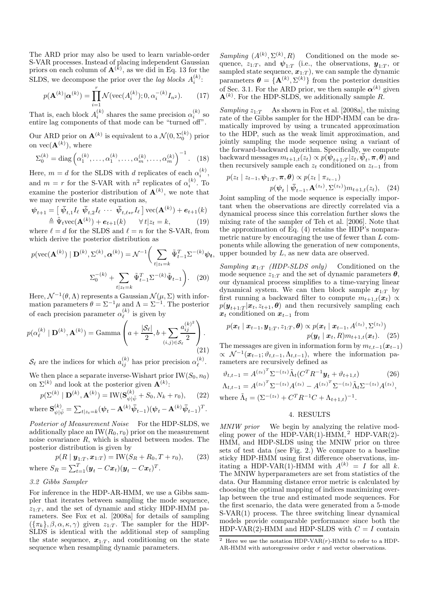The ARD prior may also be used to learn variable-order S-VAR processes. Instead of placing independent Gaussian priors on each column of  $\mathbf{A}^{(k)}$ , as we did in Eq. 13 for the SLDS, we decompose the prior over the *lag blocks*  $A_i^{(k)}$ :

$$
p(\mathbf{A}^{(k)}|\boldsymbol{\alpha}^{(k)}) = \prod_{i=1}^{r} \mathcal{N}(\text{vec}(A_i^{(k)}); 0, \alpha_i^{-(k)} I_{n^2}).
$$
 (17)

That is, each block  $A_i^{(k)}$  shares the same precision  $\alpha_i^{(k)}$  so entire lag components of that mode can be "turned off".

Our ARD prior on  $\mathbf{A}^{(k)}$  is equivalent to a  $\mathcal{N}(0, \Sigma_0^{(k)})$  prior on  $vec(\mathbf{A}^{(k)})$ , where

$$
\Sigma_0^{(k)} = \text{diag}\left(\alpha_1^{(k)}, \dots, \alpha_1^{(k)}, \dots, \alpha_m^{(k)}, \dots, \alpha_m^{(k)}\right)^{-1}.\tag{18}
$$

Here,  $m = d$  for the SLDS with d replicates of each  $\alpha_i^{(k)}$ , and  $m = r$  for the S-VAR with  $n^2$  replicates of  $\alpha_i^{(k)}$ . To examine the posterior distribution of  $\mathbf{A}^{(k)}$ , we note that we may rewrite the state equation as,

$$
\psi_{t+1} = \left[ \bar{\psi}_{t,1} I_{\ell} \ \bar{\psi}_{t,2} I_{\ell} \cdots \bar{\psi}_{t,\ell*r} I_{\ell} \right] \text{vec}(\mathbf{A}^{(k)}) + \mathbf{e}_{t+1}(k)
$$
  
\n
$$
\triangleq \tilde{\Psi}_{t} \text{vec}(\mathbf{A}^{(k)}) + \mathbf{e}_{t+1}(k) \qquad \forall t | z_t = k,
$$
 (19)

where  $\ell = d$  for the SLDS and  $\ell = n$  for the S-VAR, from which derive the posterior distribution as

$$
p(\text{vec}(\mathbf{A}^{(k)}) \mid \mathbf{D}^{(k)}, \Sigma^{(k)}, \alpha^{(k)}) = \mathcal{N}^{-1} \bigg( \sum_{t \mid z_t = k} \tilde{\Psi}_{t-1}^T \Sigma^{-(k)} \psi_t, \n\Sigma_0^{-(k)} + \sum_{t \mid z_t = k} \tilde{\Psi}_{t-1}^T \Sigma^{-(k)} \tilde{\Psi}_{t-1} \bigg). \tag{20}
$$

Here,  $\mathcal{N}^{-1}(\theta,\Lambda)$  represents a Gaussian  $\mathcal{N}(\mu,\Sigma)$  with information parameters  $\theta = \Sigma^{-1} \mu$  and  $\Lambda = \Sigma^{-1}$ . The posterior of each precision parameter  $\alpha_{\ell}^{(k)}$  is given by

$$
p(\alpha_{\ell}^{(k)} \mid \mathbf{D}^{(k)}, \mathbf{A}^{(k)}) = \text{Gamma}\left(a + \frac{|\mathcal{S}_{\ell}|}{2}, b + \sum_{(i,j) \in \mathcal{S}_{\ell}} \frac{a_{ij}^{(k)^2}}{2}\right).
$$
\n(21)

 $\mathcal{S}_{\ell}$  are the indices for which  $a_{ij}^{(k)}$  has prior precision  $\alpha_{\ell}^{(k)}$ .

We then place a separate inverse-Wishart prior  $IW(S_0, n_0)$ on  $\Sigma^{(k)}$  and look at the posterior given  $\mathbf{A}^{(k)}$ :

$$
p(\Sigma^{(k)} \mid \mathbf{D}^{(k)}, \mathbf{A}^{(k)}) = \text{IW}(\mathbf{S}_{\psi|\bar{\psi}}^{(k)} + S_0, N_k + r_0), \qquad (22)
$$

where 
$$
\mathbf{S}_{\psi|\bar{\psi}}^{(k)} = \sum_{t|z_t=k} (\boldsymbol{\psi}_t - \mathbf{A}^{(k)} \boldsymbol{\bar{\psi}}_{t-1}) (\boldsymbol{\psi}_t - \mathbf{A}^{(k)} \boldsymbol{\bar{\psi}}_{t-1})^T.
$$

Posterior of Measurement Noise For the HDP-SLDS, we additionally place an  $IW(R_0, r_0)$  prior on the measurement noise covariance  $R$ , which is shared between modes. The posterior distribution is given by

$$
p(R \mid \mathbf{y}_{1:T}, \mathbf{x}_{1:T}) = \text{IW}(S_R + R_0, T + r_0), \qquad (23)
$$
\n
$$
\text{where } S_R = \sum_{t=1}^T (\mathbf{y}_t - C\mathbf{x}_t)(\mathbf{y}_t - C\mathbf{x}_t)^T.
$$

## 3.2 Gibbs Sampler

For inference in the HDP-AR-HMM, we use a Gibbs sampler that iterates between sampling the mode sequence,  $z_{1:T}$ , and the set of dynamic and sticky HDP-HMM parameters. See Fox et al. [2008a] for details of sampling  $({\lbrace \pi_k \rbrace}, \beta, \alpha, \kappa, \gamma)$  given  $z_{1:T}$ . The sampler for the HDP-SLDS is identical with the additional step of sampling the state sequence,  $x_{1:T}$ , and conditioning on the state sequence when resampling dynamic parameters.

Sampling  $(A^{(k)}, \Sigma^{(k)}, R)$  Conditioned on the mode sequence,  $z_{1:T}$ , and  $\boldsymbol{\psi}_{1:T}$  (i.e., the observations,  $\boldsymbol{y}_{1:T}$ , or sampled state sequence,  $x_{1:T}$ , we can sample the dynamic parameters  $\boldsymbol{\theta} = {\mathbf{A}^{(k)}, \Sigma^{(k)}}$  from the posterior densities of Sec. 3.1. For the ARD prior, we then sample  $\alpha^{(k)}$  given  $\mathbf{A}^{(k)}$ . For the HDP-SLDS, we additionally sample R.

Sampling  $z_1$ . As shown in Fox et al. [2008a], the mixing rate of the Gibbs sampler for the HDP-HMM can be dramatically improved by using a truncated approximation to the HDP, such as the weak limit approximation, and jointly sampling the mode sequence using a variant of the forward-backward algorithm. Specifically, we compute backward messages  $m_{t+1,t}(z_t) \propto p(\psi_{t+1:T} | z_t, \bar{\psi}_t, \pi, \theta)$  and then recursively sample each  $z_t$  conditioned on  $z_{t-1}$  from

$$
p(z_t \mid z_{t-1}, \psi_{1:T}, \boldsymbol{\pi}, \boldsymbol{\theta}) \propto p(z_t \mid \pi_{z_{t-1}})
$$

$$
p(\psi_t \mid \bar{\psi}_{t-1}, \mathbf{A}^{(z_t)}, \Sigma^{(z_t)}) m_{t+1,t}(z_t), \quad (24)
$$

Joint sampling of the mode sequence is especially important when the observations are directly correlated via a dynamical process since this correlation further slows the mixing rate of the sampler of Teh et al. [2006]. Note that the approximation of Eq. (4) retains the HDP's nonparametric nature by encouraging the use of fewer than  $L$  components while allowing the generation of new components, upper bounded by L, as new data are observed.

Sampling  $x_{1:T}$  (HDP-SLDS only) Conditioned on the mode sequence  $z_{1:T}$  and the set of dynamic parameters  $\theta$ , our dynamical process simplifies to a time-varying linear dynamical system. We can then block sample  $x_{1:T}$  by first running a backward filter to compute  $m_{t+1,t}(\mathbf{x}_t) \propto$  $p(\boldsymbol{y}_{t+1:T}|\boldsymbol{x}_t, z_{t+1}, \boldsymbol{\theta})$  and then recursively sampling each  $x_t$  conditioned on  $x_{t-1}$  from

$$
p(\boldsymbol{x}_t | \boldsymbol{x}_{t-1}, \boldsymbol{y}_{1:T}, z_{1:T}, \boldsymbol{\theta}) \propto p(\boldsymbol{x}_t | \boldsymbol{x}_{t-1}, A^{(z_t)}, \Sigma^{(z_t)})
$$

$$
p(\boldsymbol{y}_t | \boldsymbol{x}_t, R) m_{t+1,t}(\boldsymbol{x}_t). \quad (25)
$$

The messages are given in information form by  $m_{t,t-1}(x_{t-1})$  $\propto \mathcal{N}^{-1}(\boldsymbol{x}_{t-1}; \vartheta_{t,t-1}, \Lambda_{t,t-1}),$  where the information parameters are recursively defined as

$$
\vartheta_{t,t-1} = A^{(z_t)^T} \Sigma^{-(z_t)} \tilde{\Lambda}_t (C^T R^{-1} \mathbf{y}_t + \vartheta_{t+1,t})
$$
(26)  

$$
\Lambda_{t,t-1} = A^{(z_t)^T} \Sigma^{-(z_t)} A^{(z_t)} - A^{(z_t)^T} \Sigma^{-(z_t)} \tilde{\Lambda}_t \Sigma^{-(z_t)} A^{(z_t)},
$$
  
where  $\tilde{\Lambda}_t = (\Sigma^{-(z_t)} + C^T R^{-1} C + \Lambda_{t+1,t})^{-1}.$ 

## 4. RESULTS

MNIW prior We begin by analyzing the relative modeling power of the HDP-VAR(1)-HMM, <sup>2</sup> HDP-VAR(2)-HMM, and HDP-SLDS using the MNIW prior on three sets of test data (see Fig. 2.) We compare to a baseline sticky HDP-HMM using first difference observations, imitating a HDP-VAR(1)-HMM with  $A^{(k)} = I$  for all k. The MNIW hyperparameters are set from statistics of the data. Our Hamming distance error metric is calculated by choosing the optimal mapping of indices maximizing overlap between the true and estimated mode sequences. For the first scenario, the data were generated from a 5-mode S-VAR(1) process. The three switching linear dynamical models provide comparable performance since both the HDP-VAR(2)-HMM and HDP-SLDS with  $C = I$  contain

<sup>&</sup>lt;sup>2</sup> Here we use the notation HDP-VAR $(r)$ -HMM to refer to a HDP-AR-HMM with autoregressive order r and vector observations.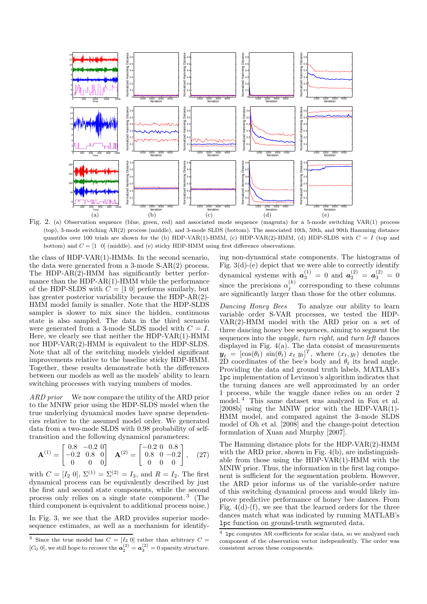

Fig. 2. (a) Observation sequence (blue, green, red) and associated mode sequence (magenta) for a 5-mode switching VAR(1) process (top), 3-mode switching AR(2) process (middle), and 3-mode SLDS (bottom). The associated 10th, 50th, and 90th Hamming distance quantiles over 100 trials are shown for the (b) HDP-VAR(1)-HMM, (c) HDP-VAR(2)-HMM, (d) HDP-SLDS with  $C = I$  (top and bottom) and  $C = \begin{bmatrix} 1 & 0 \end{bmatrix}$  (middle), and (e) sticky HDP-HMM using first difference observations.

the class of HDP-VAR(1)-HMMs. In the second scenario, the data were generated from a 3-mode S-AR(2) process. The HDP-AR(2)-HMM has significantly better performance than the HDP-AR(1)-HMM while the performance of the HDP-SLDS with  $\hat{C} = [1 \ 0]$  performs similarly, but has greater posterior variability because the HDP-AR(2)- HMM model family is smaller. Note that the HDP-SLDS sampler is slower to mix since the hidden, continuous state is also sampled. The data in the third scenario were generated from a 3-mode SLDS model with  $C = I$ . Here, we clearly see that neither the HDP-VAR(1)-HMM nor HDP-VAR(2)-HMM is equivalent to the HDP-SLDS. Note that all of the switching models yielded significant improvements relative to the baseline sticky HDP-HMM. Together, these results demonstrate both the differences between our models as well as the models' ability to learn switching processes with varying numbers of modes.

ARD prior We now compare the utility of the ARD prior to the MNIW prior using the HDP-SLDS model when the true underlying dynamical modes have sparse dependencies relative to the assumed model order. We generated data from a two-mode SLDS with 0.98 probability of selftransition and the following dynamical parameters:

$$
\mathbf{A}^{(1)} = \begin{bmatrix} 0.8 & -0.2 & 0 \\ -0.2 & 0.8 & 0 \\ 0 & 0 & 0 \end{bmatrix} \quad \mathbf{A}^{(2)} = \begin{bmatrix} -0.2 & 0 & 0.8 \\ 0.8 & 0 & -0.2 \\ 0 & 0 & 0 \end{bmatrix}, \quad (27)
$$

with  $C = [I_2 \ 0], \ \Sigma^{(1)} = \Sigma^{(2)} = I_3$ , and  $R = I_2$ . The first dynamical process can be equivalently described by just the first and second state components, while the second process only relies on a single state component. <sup>3</sup> (The third component is equivalent to additional process noise.)

In Fig. 3, we see that the ARD provides superior modesequence estimates, as well as a mechanism for identifying non-dynamical state components. The histograms of Fig. 3(d)-(e) depict that we were able to correctly identify dynamical systems with  $a_3^{(1)} = 0$  and  $a_2^{(2)} = a_3^{(2)} = 0$ since the precisions  $\alpha_j^{(k)}$  corresponding to these columns are significantly larger than those for the other columns.

Dancing Honey Bees To analyze our ability to learn variable order S-VAR processes, we tested the HDP-VAR(2)-HMM model with the ARD prior on a set of three dancing honey bee sequences, aiming to segment the sequences into the *waggle*, turn right, and turn left dances displayed in Fig. 4(a). The data consist of measurements  $y_t = [\cos(\theta_t) \sin(\theta_t) x_t y_t]^T$ , where  $(x_t, y_t)$  denotes the 2D coordinates of the bee's body and  $\theta_t$  its head angle. Providing the data and ground truth labels, MATLAB's lpc implementation of Levinson's algorithm indicates that the turning dances are well approximated by an order 1 process, while the waggle dance relies on an order 2 model. <sup>4</sup> This same dataset was analyzed in Fox et al. [2008b] using the MNIW prior with the HDP-VAR(1)- HMM model, and compared against the 3-mode SLDS model of Oh et al. [2008] and the change-point detection formulation of Xuan and Murphy [2007].

The Hamming distance plots for the HDP-VAR(2)-HMM with the ARD prior, shown in Fig. 4(b), are indistinguishable from those using the HDP-VAR(1)-HMM with the MNIW prior. Thus, the information in the first lag component is sufficient for the segmentation problem. However, the ARD prior informs us of the variable-order nature of this switching dynamical process and would likely improve predictive performance of honey bee dances. From Fig.  $4(d)$ - $(f)$ , we see that the learned orders for the three dances match what was indicated by running MATLAB's lpc function on ground-truth segmented data.

<sup>&</sup>lt;sup>3</sup> Since the true model has  $C = [I_2 \ 0]$  rather than arbitrary  $C =$ [C<sub>0</sub> 0], we still hope to recover the  $a_2^{(2)} = a_3^{(2)} = 0$  sparsity structure.

<sup>4</sup> lpc computes AR coefficients for scalar data, so we analyzed each component of the observation vector independently. The order was consistent across these components.